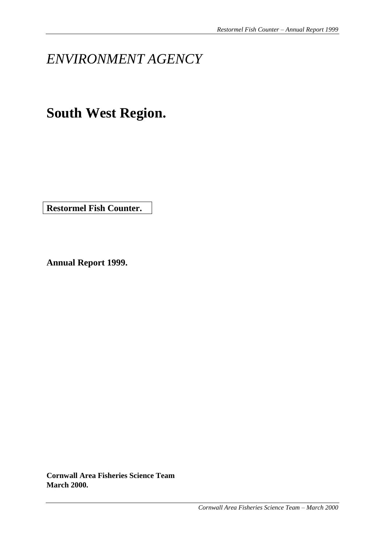# *ENVIRONMENT AGENCY*

# **South West Region.**

**Restormel Fish Counter.**

**Annual Report 1999.**

**Cornwall Area Fisheries Science Team March 2000.**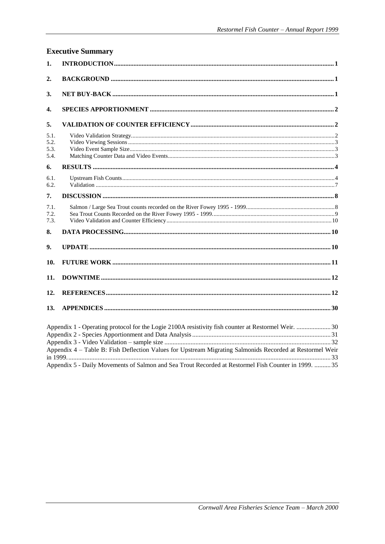|                              | <b>Executive Summary</b>                                                                                                                                                                                                                                                                                               |
|------------------------------|------------------------------------------------------------------------------------------------------------------------------------------------------------------------------------------------------------------------------------------------------------------------------------------------------------------------|
| 1.                           |                                                                                                                                                                                                                                                                                                                        |
| $\overline{2}$ .             |                                                                                                                                                                                                                                                                                                                        |
| 3.                           |                                                                                                                                                                                                                                                                                                                        |
| 4.                           |                                                                                                                                                                                                                                                                                                                        |
| 5.                           |                                                                                                                                                                                                                                                                                                                        |
| 5.1.<br>5.2.<br>5.3.<br>5.4. |                                                                                                                                                                                                                                                                                                                        |
| 6.                           |                                                                                                                                                                                                                                                                                                                        |
| 6.1.<br>6.2.                 |                                                                                                                                                                                                                                                                                                                        |
| 7.                           |                                                                                                                                                                                                                                                                                                                        |
| 7.1.<br>7.2.<br>7.3.         |                                                                                                                                                                                                                                                                                                                        |
| 8.                           |                                                                                                                                                                                                                                                                                                                        |
| 9.                           |                                                                                                                                                                                                                                                                                                                        |
| 10.                          |                                                                                                                                                                                                                                                                                                                        |
| 11.                          |                                                                                                                                                                                                                                                                                                                        |
| 12.                          |                                                                                                                                                                                                                                                                                                                        |
| 13.                          |                                                                                                                                                                                                                                                                                                                        |
|                              | Appendix 1 - Operating protocol for the Logie 2100A resistivity fish counter at Restormel Weir.  30<br>Appendix 4 - Table B: Fish Deflection Values for Upstream Migrating Salmonids Recorded at Restormel Weir<br>Appendix 5 - Daily Movements of Salmon and Sea Trout Recorded at Restormel Fish Counter in 1999. 35 |
|                              |                                                                                                                                                                                                                                                                                                                        |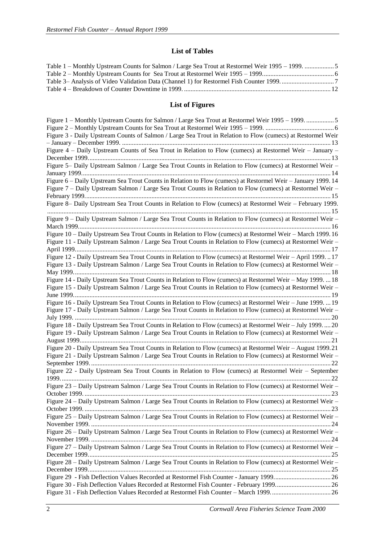#### **List of Tables**

| Table 1 – Monthly Upstream Counts for Salmon / Large Sea Trout at Restormel Weir 1995 – 1999. 5 |  |
|-------------------------------------------------------------------------------------------------|--|
|                                                                                                 |  |
|                                                                                                 |  |
|                                                                                                 |  |
|                                                                                                 |  |

## **List of Figures**

| Figure 3 - Daily Upstream Counts of Salmon / Large Sea Trout in Relation to Flow (cumecs) at Restormel Weir  |  |
|--------------------------------------------------------------------------------------------------------------|--|
|                                                                                                              |  |
| Figure 4 - Daily Upstream Counts of Sea Trout in Relation to Flow (cumecs) at Restormel Weir - January -     |  |
|                                                                                                              |  |
| Figure 5- Daily Upstream Salmon / Large Sea Trout Counts in Relation to Flow (cumecs) at Restormel Weir -    |  |
|                                                                                                              |  |
| Figure 6 – Daily Upstream Sea Trout Counts in Relation to Flow (cumecs) at Restormel Weir – January 1999. 14 |  |
| Figure 7 – Daily Upstream Salmon / Large Sea Trout Counts in Relation to Flow (cumecs) at Restormel Weir –   |  |
|                                                                                                              |  |
| Figure 8– Daily Upstream Sea Trout Counts in Relation to Flow (cumecs) at Restormel Weir – February 1999.    |  |
|                                                                                                              |  |
| Figure 9 - Daily Upstream Salmon / Large Sea Trout Counts in Relation to Flow (cumecs) at Restormel Weir -   |  |
|                                                                                                              |  |
| Figure 10 – Daily Upstream Sea Trout Counts in Relation to Flow (cumecs) at Restormel Weir – March 1999. 16  |  |
| Figure 11 - Daily Upstream Salmon / Large Sea Trout Counts in Relation to Flow (cumecs) at Restormel Weir -  |  |
|                                                                                                              |  |
| Figure 12 - Daily Upstream Sea Trout Counts in Relation to Flow (cumecs) at Restormel Weir - April 199917    |  |
| Figure 13 - Daily Upstream Salmon / Large Sea Trout Counts in Relation to Flow (cumecs) at Restormel Weir -  |  |
|                                                                                                              |  |
| Figure 14 - Daily Upstream Sea Trout Counts in Relation to Flow (cumecs) at Restormel Weir - May 1999.  18   |  |
|                                                                                                              |  |
| Figure 15 - Daily Upstream Salmon / Large Sea Trout Counts in Relation to Flow (cumecs) at Restormel Weir -  |  |
|                                                                                                              |  |
| Figure 16 - Daily Upstream Sea Trout Counts in Relation to Flow (cumecs) at Restormel Weir - June 1999.  19  |  |
| Figure 17 - Daily Upstream Salmon / Large Sea Trout Counts in Relation to Flow (cumecs) at Restormel Weir -  |  |
|                                                                                                              |  |
| Figure 18 - Daily Upstream Sea Trout Counts in Relation to Flow (cumecs) at Restormel Weir - July 199920     |  |
| Figure 19 - Daily Upstream Salmon / Large Sea Trout Counts in Relation to Flow (cumecs) at Restormel Weir -  |  |
|                                                                                                              |  |
| Figure 20 - Daily Upstream Sea Trout Counts in Relation to Flow (cumecs) at Restormel Weir - August 1999.21  |  |
| Figure 21 - Daily Upstream Salmon / Large Sea Trout Counts in Relation to Flow (cumecs) at Restormel Weir -  |  |
|                                                                                                              |  |
| Figure 22 - Daily Upstream Sea Trout Counts in Relation to Flow (cumecs) at Restormel Weir - September       |  |
|                                                                                                              |  |
| Figure 23 – Daily Upstream Salmon / Large Sea Trout Counts in Relation to Flow (cumecs) at Restormel Weir –  |  |
|                                                                                                              |  |
| Figure 24 – Daily Upstream Salmon / Large Sea Trout Counts in Relation to Flow (cumecs) at Restormel Weir –  |  |
|                                                                                                              |  |
| Figure 25 – Daily Upstream Salmon / Large Sea Trout Counts in Relation to Flow (cumecs) at Restormel Weir –  |  |
|                                                                                                              |  |
| Figure 26 – Daily Upstream Salmon / Large Sea Trout Counts in Relation to Flow (cumecs) at Restormel Weir –  |  |
|                                                                                                              |  |
| Figure 27 – Daily Upstream Salmon / Large Sea Trout Counts in Relation to Flow (cumecs) at Restormel Weir –  |  |
|                                                                                                              |  |
| Figure 28 – Daily Upstream Salmon / Large Sea Trout Counts in Relation to Flow (cumecs) at Restormel Weir –  |  |
|                                                                                                              |  |
|                                                                                                              |  |
| Figure 30 - Fish Deflection Values Recorded at Restormel Fish Counter - February 1999 26                     |  |
|                                                                                                              |  |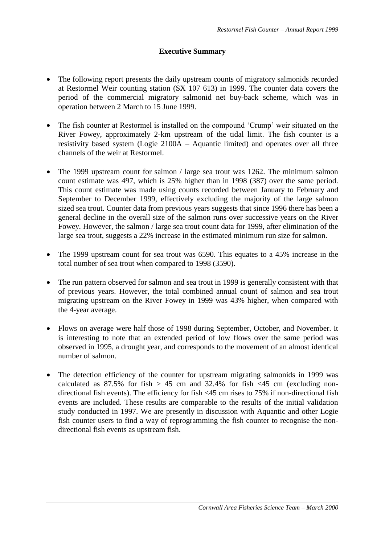## **Executive Summary**

- The following report presents the daily upstream counts of migratory salmonids recorded at Restormel Weir counting station (SX 107 613) in 1999. The counter data covers the period of the commercial migratory salmonid net buy-back scheme, which was in operation between 2 March to 15 June 1999.
- The fish counter at Restormel is installed on the compound 'Crump' weir situated on the River Fowey, approximately 2-km upstream of the tidal limit. The fish counter is a resistivity based system (Logie 2100A – Aquantic limited) and operates over all three channels of the weir at Restormel.
- The 1999 upstream count for salmon / large sea trout was 1262. The minimum salmon count estimate was 497, which is 25% higher than in 1998 (387) over the same period. This count estimate was made using counts recorded between January to February and September to December 1999, effectively excluding the majority of the large salmon sized sea trout. Counter data from previous years suggests that since 1996 there has been a general decline in the overall size of the salmon runs over successive years on the River Fowey. However, the salmon / large sea trout count data for 1999, after elimination of the large sea trout, suggests a 22% increase in the estimated minimum run size for salmon.
- The 1999 upstream count for sea trout was 6590. This equates to a 45% increase in the total number of sea trout when compared to 1998 (3590).
- The run pattern observed for salmon and sea trout in 1999 is generally consistent with that of previous years. However, the total combined annual count of salmon and sea trout migrating upstream on the River Fowey in 1999 was 43% higher, when compared with the 4-year average.
- Flows on average were half those of 1998 during September, October, and November. It is interesting to note that an extended period of low flows over the same period was observed in 1995, a drought year, and corresponds to the movement of an almost identical number of salmon.
- The detection efficiency of the counter for upstream migrating salmonids in 1999 was calculated as  $87.5\%$  for fish  $> 45$  cm and  $32.4\%$  for fish  $< 45$  cm (excluding nondirectional fish events). The efficiency for fish <45 cm rises to 75% if non-directional fish events are included. These results are comparable to the results of the initial validation study conducted in 1997. We are presently in discussion with Aquantic and other Logie fish counter users to find a way of reprogramming the fish counter to recognise the nondirectional fish events as upstream fish.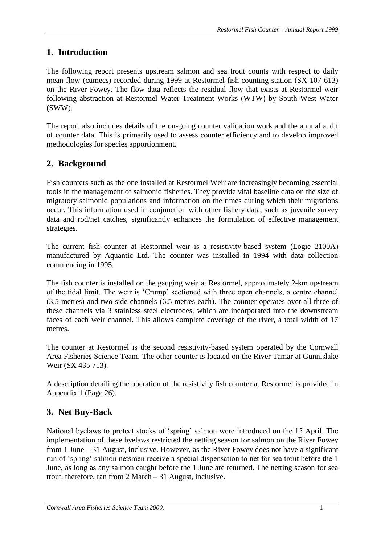# **1. Introduction**

The following report presents upstream salmon and sea trout counts with respect to daily mean flow (cumecs) recorded during 1999 at Restormel fish counting station (SX 107 613) on the River Fowey. The flow data reflects the residual flow that exists at Restormel weir following abstraction at Restormel Water Treatment Works (WTW) by South West Water (SWW).

The report also includes details of the on-going counter validation work and the annual audit of counter data. This is primarily used to assess counter efficiency and to develop improved methodologies for species apportionment.

# **2. Background**

Fish counters such as the one installed at Restormel Weir are increasingly becoming essential tools in the management of salmonid fisheries. They provide vital baseline data on the size of migratory salmonid populations and information on the times during which their migrations occur. This information used in conjunction with other fishery data, such as juvenile survey data and rod/net catches, significantly enhances the formulation of effective management strategies.

The current fish counter at Restormel weir is a resistivity-based system (Logie 2100A) manufactured by Aquantic Ltd. The counter was installed in 1994 with data collection commencing in 1995.

The fish counter is installed on the gauging weir at Restormel, approximately 2-km upstream of the tidal limit. The weir is 'Crump' sectioned with three open channels, a centre channel (3.5 metres) and two side channels (6.5 metres each). The counter operates over all three of these channels via 3 stainless steel electrodes, which are incorporated into the downstream faces of each weir channel. This allows complete coverage of the river, a total width of 17 metres.

The counter at Restormel is the second resistivity-based system operated by the Cornwall Area Fisheries Science Team. The other counter is located on the River Tamar at Gunnislake Weir (SX 435 713).

A description detailing the operation of the resistivity fish counter at Restormel is provided in Appendix 1 (Page 26).

# **3. Net Buy-Back**

National byelaws to protect stocks of 'spring' salmon were introduced on the 15 April. The implementation of these byelaws restricted the netting season for salmon on the River Fowey from 1 June – 31 August, inclusive. However, as the River Fowey does not have a significant run of 'spring' salmon netsmen receive a special dispensation to net for sea trout before the 1 June, as long as any salmon caught before the 1 June are returned. The netting season for sea trout, therefore, ran from 2 March – 31 August, inclusive.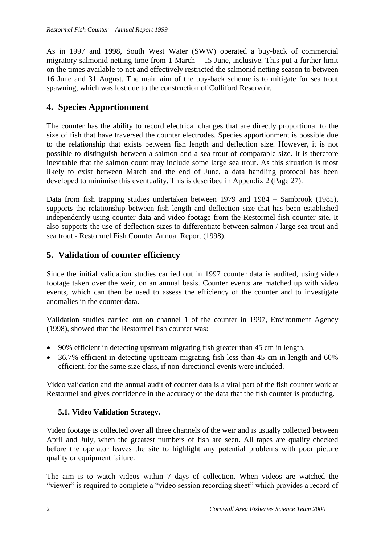As in 1997 and 1998, South West Water (SWW) operated a buy-back of commercial migratory salmonid netting time from 1 March – 15 June, inclusive. This put a further limit on the times available to net and effectively restricted the salmonid netting season to between 16 June and 31 August. The main aim of the buy-back scheme is to mitigate for sea trout spawning, which was lost due to the construction of Colliford Reservoir.

# **4. Species Apportionment**

The counter has the ability to record electrical changes that are directly proportional to the size of fish that have traversed the counter electrodes. Species apportionment is possible due to the relationship that exists between fish length and deflection size. However, it is not possible to distinguish between a salmon and a sea trout of comparable size. It is therefore inevitable that the salmon count may include some large sea trout. As this situation is most likely to exist between March and the end of June, a data handling protocol has been developed to minimise this eventuality. This is described in Appendix 2 (Page 27).

Data from fish trapping studies undertaken between 1979 and 1984 – Sambrook (1985), supports the relationship between fish length and deflection size that has been established independently using counter data and video footage from the Restormel fish counter site. It also supports the use of deflection sizes to differentiate between salmon / large sea trout and sea trout - Restormel Fish Counter Annual Report (1998).

# **5. Validation of counter efficiency**

Since the initial validation studies carried out in 1997 counter data is audited, using video footage taken over the weir, on an annual basis. Counter events are matched up with video events, which can then be used to assess the efficiency of the counter and to investigate anomalies in the counter data.

Validation studies carried out on channel 1 of the counter in 1997, Environment Agency (1998), showed that the Restormel fish counter was:

- 90% efficient in detecting upstream migrating fish greater than 45 cm in length.
- 36.7% efficient in detecting upstream migrating fish less than 45 cm in length and 60% efficient, for the same size class, if non-directional events were included.

Video validation and the annual audit of counter data is a vital part of the fish counter work at Restormel and gives confidence in the accuracy of the data that the fish counter is producing.

## **5.1. Video Validation Strategy.**

Video footage is collected over all three channels of the weir and is usually collected between April and July, when the greatest numbers of fish are seen. All tapes are quality checked before the operator leaves the site to highlight any potential problems with poor picture quality or equipment failure.

The aim is to watch videos within 7 days of collection. When videos are watched the "viewer" is required to complete a "video session recording sheet" which provides a record of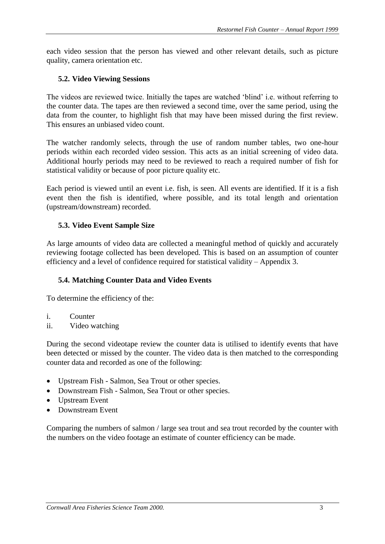each video session that the person has viewed and other relevant details, such as picture quality, camera orientation etc.

#### **5.2. Video Viewing Sessions**

The videos are reviewed twice. Initially the tapes are watched 'blind' i.e. without referring to the counter data. The tapes are then reviewed a second time, over the same period, using the data from the counter, to highlight fish that may have been missed during the first review. This ensures an unbiased video count.

The watcher randomly selects, through the use of random number tables, two one-hour periods within each recorded video session. This acts as an initial screening of video data. Additional hourly periods may need to be reviewed to reach a required number of fish for statistical validity or because of poor picture quality etc.

Each period is viewed until an event i.e. fish, is seen. All events are identified. If it is a fish event then the fish is identified, where possible, and its total length and orientation (upstream/downstream) recorded.

#### **5.3. Video Event Sample Size**

As large amounts of video data are collected a meaningful method of quickly and accurately reviewing footage collected has been developed. This is based on an assumption of counter efficiency and a level of confidence required for statistical validity – Appendix 3.

#### **5.4. Matching Counter Data and Video Events**

To determine the efficiency of the:

- i. Counter
- ii. Video watching

During the second videotape review the counter data is utilised to identify events that have been detected or missed by the counter. The video data is then matched to the corresponding counter data and recorded as one of the following:

- Upstream Fish Salmon, Sea Trout or other species.
- Downstream Fish Salmon, Sea Trout or other species.
- Upstream Event
- Downstream Event

Comparing the numbers of salmon / large sea trout and sea trout recorded by the counter with the numbers on the video footage an estimate of counter efficiency can be made.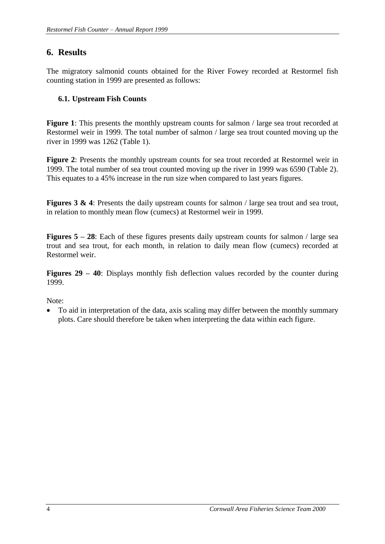# **6. Results**

The migratory salmonid counts obtained for the River Fowey recorded at Restormel fish counting station in 1999 are presented as follows:

## **6.1. Upstream Fish Counts**

**Figure 1**: This presents the monthly upstream counts for salmon / large sea trout recorded at Restormel weir in 1999. The total number of salmon / large sea trout counted moving up the river in 1999 was 1262 (Table 1).

**Figure 2**: Presents the monthly upstream counts for sea trout recorded at Restormel weir in 1999. The total number of sea trout counted moving up the river in 1999 was 6590 (Table 2). This equates to a 45% increase in the run size when compared to last years figures.

**Figures 3 & 4**: Presents the daily upstream counts for salmon / large sea trout and sea trout, in relation to monthly mean flow (cumecs) at Restormel weir in 1999.

**Figures 5 – 28**: Each of these figures presents daily upstream counts for salmon / large sea trout and sea trout, for each month, in relation to daily mean flow (cumecs) recorded at Restormel weir.

**Figures 29 – 40**: Displays monthly fish deflection values recorded by the counter during 1999.

Note:

• To aid in interpretation of the data, axis scaling may differ between the monthly summary plots. Care should therefore be taken when interpreting the data within each figure.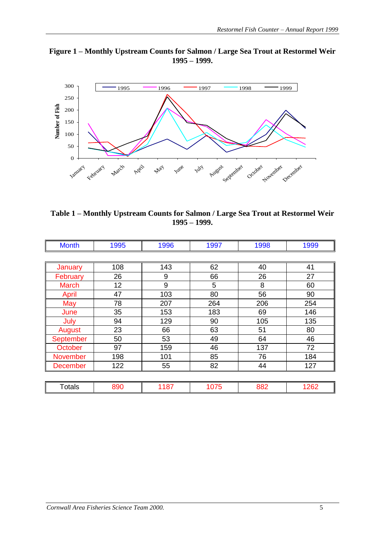#### **Figure 1 – Monthly Upstream Counts for Salmon / Large Sea Trout at Restormel Weir 1995 – 1999.**



**Table 1 – Monthly Upstream Counts for Salmon / Large Sea Trout at Restormel Weir 1995 – 1999.**

| 1995<br><b>Month</b> |     | 1996 | 1997 | 1998 | 1999 |  |  |
|----------------------|-----|------|------|------|------|--|--|
|                      |     |      |      |      |      |  |  |
| January              | 108 | 143  | 62   | 40   | 41   |  |  |
| February             | 26  | 9    | 66   | 26   | 27   |  |  |
| <b>March</b>         | 12  | 9    | 5    | 8    | 60   |  |  |
| April                | 47  | 103  | 80   | 56   | 90   |  |  |
| May                  | 78  | 207  | 264  | 206  | 254  |  |  |
| June                 | 35  | 153  | 183  | 69   | 146  |  |  |
| July                 | 94  | 129  | 90   | 105  | 135  |  |  |
| August               | 23  | 66   | 63   | 51   | 80   |  |  |
| September            | 50  | 53   | 49   | 64   | 46   |  |  |
| <b>October</b>       | 97  | 159  | 46   | 137  | 72   |  |  |
| November             | 198 | 101  | 85   | 76   | 184  |  |  |
| <b>December</b>      | 122 | 55   | 82   | 44   | 127  |  |  |
|                      |     |      |      |      |      |  |  |
| <b>Totals</b>        | 890 | 1187 | 1075 | 882  | 1262 |  |  |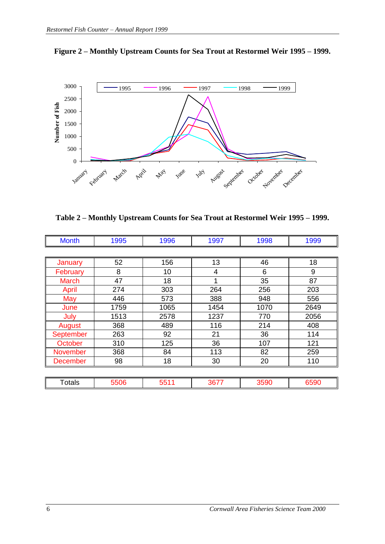



**Table 2 – Monthly Upstream Counts for Sea Trout at Restormel Weir 1995 – 1999.**

| <b>Month</b>    | 1995 | 1996 | 1997 | 1998 | 1999 |  |  |  |
|-----------------|------|------|------|------|------|--|--|--|
|                 |      |      |      |      |      |  |  |  |
| January         | 52   | 156  | 13   | 46   | 18   |  |  |  |
| February        | 8    | 10   | 4    | 6    | 9    |  |  |  |
| <b>March</b>    | 47   | 18   | 1    | 35   | 87   |  |  |  |
| April           | 274  | 303  | 264  | 256  | 203  |  |  |  |
| May             | 446  | 573  | 388  | 948  | 556  |  |  |  |
| June            | 1759 | 1065 | 1454 | 1070 | 2649 |  |  |  |
| July            | 1513 | 2578 | 1237 | 770  | 2056 |  |  |  |
| August          | 368  | 489  | 116  | 214  | 408  |  |  |  |
| September       | 263  | 92   | 21   | 36   | 114  |  |  |  |
| October         | 310  | 125  | 36   | 107  | 121  |  |  |  |
| <b>November</b> | 368  | 84   | 113  | 82   | 259  |  |  |  |
| <b>December</b> | 98   | 18   | 30   | 20   | 110  |  |  |  |
|                 |      |      |      |      |      |  |  |  |
| <b>Totals</b>   | 5506 | 5511 | 3677 | 3590 | 6590 |  |  |  |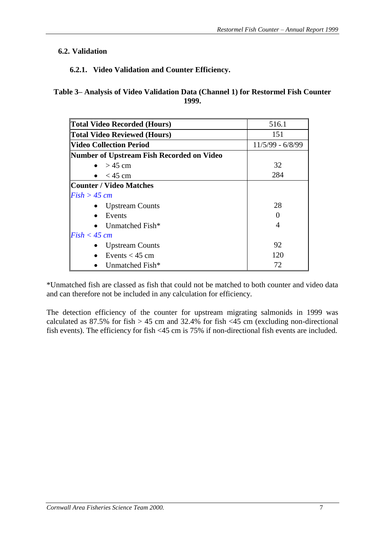## **6.2. Validation**

## **6.2.1. Video Validation and Counter Efficiency.**

**Table 3– Analysis of Video Validation Data (Channel 1) for Restormel Fish Counter 1999.**

| <b>Total Video Recorded (Hours)</b>       | 516.1              |  |  |  |
|-------------------------------------------|--------------------|--|--|--|
| <b>Total Video Reviewed (Hours)</b>       | 151                |  |  |  |
| <b>Video Collection Period</b>            | $11/5/99 - 6/8/99$ |  |  |  |
| Number of Upstream Fish Recorded on Video |                    |  |  |  |
| $>$ 45 cm                                 | 32                 |  |  |  |
| $<$ 45 cm                                 | 284                |  |  |  |
| <b>Counter / Video Matches</b>            |                    |  |  |  |
| $Fish > 45$ cm                            |                    |  |  |  |
| <b>Upstream Counts</b>                    | 28                 |  |  |  |
| Events                                    |                    |  |  |  |
| Unmatched Fish*                           |                    |  |  |  |
| $Fish < 45$ cm                            |                    |  |  |  |
| <b>Upstream Counts</b>                    | 92                 |  |  |  |
| Events $<$ 45 cm                          | 120                |  |  |  |
| Unmatched Fish*                           | 72                 |  |  |  |

\*Unmatched fish are classed as fish that could not be matched to both counter and video data and can therefore not be included in any calculation for efficiency.

The detection efficiency of the counter for upstream migrating salmonids in 1999 was calculated as  $87.5\%$  for fish  $> 45$  cm and  $32.4\%$  for fish  $< 45$  cm (excluding non-directional fish events). The efficiency for fish <45 cm is 75% if non-directional fish events are included.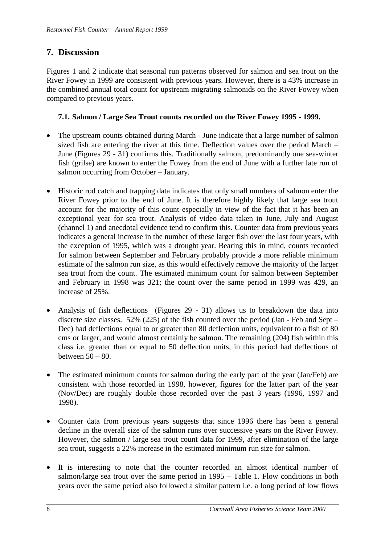# **7. Discussion**

Figures 1 and 2 indicate that seasonal run patterns observed for salmon and sea trout on the River Fowey in 1999 are consistent with previous years. However, there is a 43% increase in the combined annual total count for upstream migrating salmonids on the River Fowey when compared to previous years.

## **7.1. Salmon / Large Sea Trout counts recorded on the River Fowey 1995 - 1999.**

- The upstream counts obtained during March June indicate that a large number of salmon sized fish are entering the river at this time. Deflection values over the period March – June (Figures 29 - 31) confirms this. Traditionally salmon, predominantly one sea-winter fish (grilse) are known to enter the Fowey from the end of June with a further late run of salmon occurring from October – January.
- Historic rod catch and trapping data indicates that only small numbers of salmon enter the River Fowey prior to the end of June. It is therefore highly likely that large sea trout account for the majority of this count especially in view of the fact that it has been an exceptional year for sea trout. Analysis of video data taken in June, July and August (channel 1) and anecdotal evidence tend to confirm this. Counter data from previous years indicates a general increase in the number of these larger fish over the last four years, with the exception of 1995, which was a drought year. Bearing this in mind, counts recorded for salmon between September and February probably provide a more reliable minimum estimate of the salmon run size, as this would effectively remove the majority of the larger sea trout from the count. The estimated minimum count for salmon between September and February in 1998 was 321; the count over the same period in 1999 was 429, an increase of 25%.
- Analysis of fish deflections (Figures 29 31) allows us to breakdown the data into discrete size classes. 52% (225) of the fish counted over the period (Jan - Feb and Sept – Dec) had deflections equal to or greater than 80 deflection units, equivalent to a fish of 80 cms or larger, and would almost certainly be salmon. The remaining (204) fish within this class i.e. greater than or equal to 50 deflection units, in this period had deflections of between 50 – 80.
- The estimated minimum counts for salmon during the early part of the year (Jan/Feb) are consistent with those recorded in 1998, however, figures for the latter part of the year (Nov/Dec) are roughly double those recorded over the past 3 years (1996, 1997 and 1998).
- Counter data from previous years suggests that since 1996 there has been a general decline in the overall size of the salmon runs over successive years on the River Fowey. However, the salmon / large sea trout count data for 1999, after elimination of the large sea trout, suggests a 22% increase in the estimated minimum run size for salmon.
- It is interesting to note that the counter recorded an almost identical number of salmon/large sea trout over the same period in 1995 – Table 1. Flow conditions in both years over the same period also followed a similar pattern i.e. a long period of low flows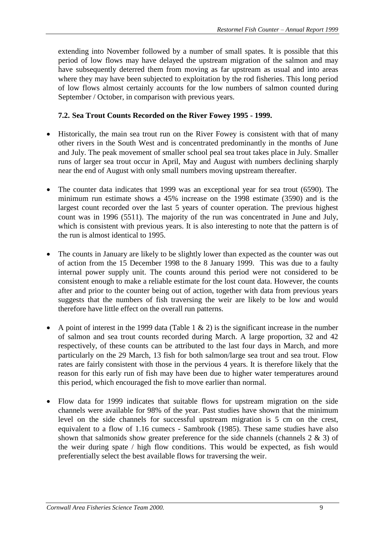extending into November followed by a number of small spates. It is possible that this period of low flows may have delayed the upstream migration of the salmon and may have subsequently deterred them from moving as far upstream as usual and into areas where they may have been subjected to exploitation by the rod fisheries. This long period of low flows almost certainly accounts for the low numbers of salmon counted during September / October, in comparison with previous years.

#### **7.2. Sea Trout Counts Recorded on the River Fowey 1995 - 1999.**

- Historically, the main sea trout run on the River Fowey is consistent with that of many other rivers in the South West and is concentrated predominantly in the months of June and July. The peak movement of smaller school peal sea trout takes place in July. Smaller runs of larger sea trout occur in April, May and August with numbers declining sharply near the end of August with only small numbers moving upstream thereafter.
- The counter data indicates that 1999 was an exceptional year for sea trout (6590). The minimum run estimate shows a 45% increase on the 1998 estimate (3590) and is the largest count recorded over the last 5 years of counter operation. The previous highest count was in 1996 (5511). The majority of the run was concentrated in June and July, which is consistent with previous years. It is also interesting to note that the pattern is of the run is almost identical to 1995.
- The counts in January are likely to be slightly lower than expected as the counter was out of action from the 15 December 1998 to the 8 January 1999. This was due to a faulty internal power supply unit. The counts around this period were not considered to be consistent enough to make a reliable estimate for the lost count data. However, the counts after and prior to the counter being out of action, together with data from previous years suggests that the numbers of fish traversing the weir are likely to be low and would therefore have little effect on the overall run patterns.
- A point of interest in the 1999 data (Table 1  $\&$  2) is the significant increase in the number of salmon and sea trout counts recorded during March. A large proportion, 32 and 42 respectively, of these counts can be attributed to the last four days in March, and more particularly on the 29 March, 13 fish for both salmon/large sea trout and sea trout. Flow rates are fairly consistent with those in the pervious 4 years. It is therefore likely that the reason for this early run of fish may have been due to higher water temperatures around this period, which encouraged the fish to move earlier than normal.
- Flow data for 1999 indicates that suitable flows for upstream migration on the side channels were available for 98% of the year. Past studies have shown that the minimum level on the side channels for successful upstream migration is 5 cm on the crest, equivalent to a flow of 1.16 cumecs - Sambrook (1985). These same studies have also shown that salmonids show greater preference for the side channels (channels 2 & 3) of the weir during spate / high flow conditions. This would be expected, as fish would preferentially select the best available flows for traversing the weir.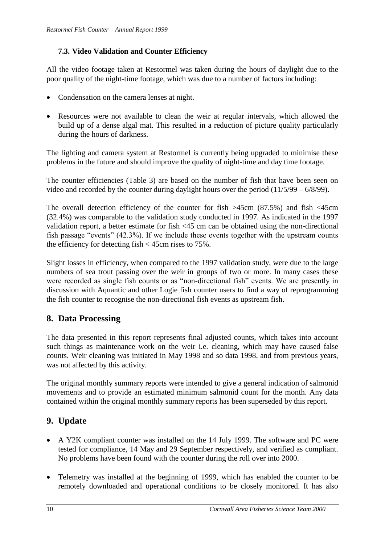## **7.3. Video Validation and Counter Efficiency**

All the video footage taken at Restormel was taken during the hours of daylight due to the poor quality of the night-time footage, which was due to a number of factors including:

- Condensation on the camera lenses at night.
- Resources were not available to clean the weir at regular intervals, which allowed the build up of a dense algal mat. This resulted in a reduction of picture quality particularly during the hours of darkness.

The lighting and camera system at Restormel is currently being upgraded to minimise these problems in the future and should improve the quality of night-time and day time footage.

The counter efficiencies (Table 3) are based on the number of fish that have been seen on video and recorded by the counter during daylight hours over the period (11/5/99 – 6/8/99).

The overall detection efficiency of the counter for fish >45cm (87.5%) and fish <45cm (32.4%) was comparable to the validation study conducted in 1997. As indicated in the 1997 validation report, a better estimate for fish <45 cm can be obtained using the non-directional fish passage "events" (42.3%). If we include these events together with the upstream counts the efficiency for detecting fish < 45cm rises to 75%.

Slight losses in efficiency, when compared to the 1997 validation study, were due to the large numbers of sea trout passing over the weir in groups of two or more. In many cases these were recorded as single fish counts or as "non-directional fish" events. We are presently in discussion with Aquantic and other Logie fish counter users to find a way of reprogramming the fish counter to recognise the non-directional fish events as upstream fish.

# **8. Data Processing**

The data presented in this report represents final adjusted counts, which takes into account such things as maintenance work on the weir i.e. cleaning, which may have caused false counts. Weir cleaning was initiated in May 1998 and so data 1998, and from previous years, was not affected by this activity.

The original monthly summary reports were intended to give a general indication of salmonid movements and to provide an estimated minimum salmonid count for the month. Any data contained within the original monthly summary reports has been superseded by this report.

# **9. Update**

- A Y2K compliant counter was installed on the 14 July 1999. The software and PC were tested for compliance, 14 May and 29 September respectively, and verified as compliant. No problems have been found with the counter during the roll over into 2000.
- Telemetry was installed at the beginning of 1999, which has enabled the counter to be remotely downloaded and operational conditions to be closely monitored. It has also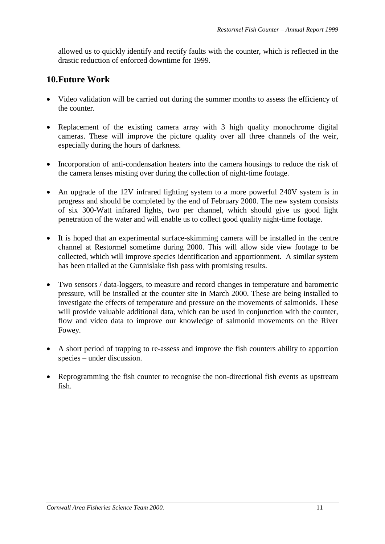allowed us to quickly identify and rectify faults with the counter, which is reflected in the drastic reduction of enforced downtime for 1999.

## **10.Future Work**

- Video validation will be carried out during the summer months to assess the efficiency of the counter.
- Replacement of the existing camera array with 3 high quality monochrome digital cameras. These will improve the picture quality over all three channels of the weir, especially during the hours of darkness.
- Incorporation of anti-condensation heaters into the camera housings to reduce the risk of the camera lenses misting over during the collection of night-time footage.
- An upgrade of the 12V infrared lighting system to a more powerful 240V system is in progress and should be completed by the end of February 2000. The new system consists of six 300-Watt infrared lights, two per channel, which should give us good light penetration of the water and will enable us to collect good quality night-time footage.
- It is hoped that an experimental surface-skimming camera will be installed in the centre channel at Restormel sometime during 2000. This will allow side view footage to be collected, which will improve species identification and apportionment. A similar system has been trialled at the Gunnislake fish pass with promising results.
- Two sensors / data-loggers, to measure and record changes in temperature and barometric pressure, will be installed at the counter site in March 2000. These are being installed to investigate the effects of temperature and pressure on the movements of salmonids. These will provide valuable additional data, which can be used in conjunction with the counter, flow and video data to improve our knowledge of salmonid movements on the River Fowey.
- A short period of trapping to re-assess and improve the fish counters ability to apportion species – under discussion.
- Reprogramming the fish counter to recognise the non-directional fish events as upstream fish.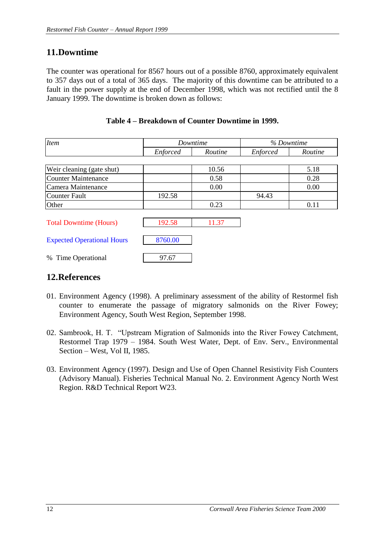# **11.Downtime**

The counter was operational for 8567 hours out of a possible 8760, approximately equivalent to 357 days out of a total of 365 days. The majority of this downtime can be attributed to a fault in the power supply at the end of December 1998, which was not rectified until the 8 January 1999. The downtime is broken down as follows:

| <b>Item</b>                       |          | Downtime | % Downtime      |         |  |  |
|-----------------------------------|----------|----------|-----------------|---------|--|--|
|                                   | Enforced | Routine  | <b>Enforced</b> | Routine |  |  |
|                                   |          |          |                 |         |  |  |
| Weir cleaning (gate shut)         |          | 10.56    |                 | 5.18    |  |  |
| Counter Maintenance               |          | 0.58     |                 | 0.28    |  |  |
| Camera Maintenance                |          | 0.00     |                 | 0.00    |  |  |
| Counter Fault                     | 192.58   |          | 94.43           |         |  |  |
| Other                             |          | 0.23     |                 | 0.11    |  |  |
|                                   |          |          |                 |         |  |  |
| <b>Total Downtime (Hours)</b>     | 192.58   | 11.37    |                 |         |  |  |
|                                   |          |          |                 |         |  |  |
| <b>Expected Operational Hours</b> | 8760.00  |          |                 |         |  |  |
| Time Operational<br>$\%$          | 97.67    |          |                 |         |  |  |

#### **Table 4 – Breakdown of Counter Downtime in 1999.**

## **12.References**

- 01. Environment Agency (1998). A preliminary assessment of the ability of Restormel fish counter to enumerate the passage of migratory salmonids on the River Fowey; Environment Agency, South West Region, September 1998.
- 02. Sambrook, H. T. "Upstream Migration of Salmonids into the River Fowey Catchment, Restormel Trap 1979 – 1984. South West Water, Dept. of Env. Serv., Environmental Section – West, Vol II, 1985.
- 03. Environment Agency (1997). Design and Use of Open Channel Resistivity Fish Counters (Advisory Manual). Fisheries Technical Manual No. 2. Environment Agency North West Region. R&D Technical Report W23.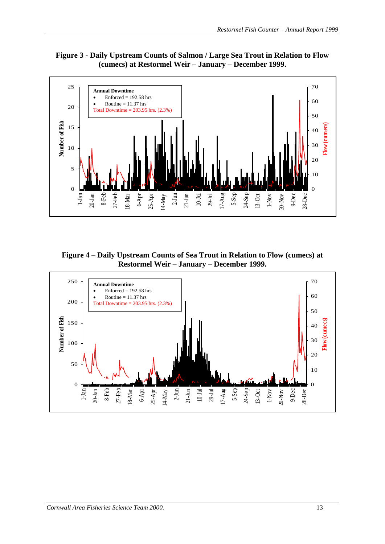



**Figure 4 – Daily Upstream Counts of Sea Trout in Relation to Flow (cumecs) at Restormel Weir – January – December 1999.**

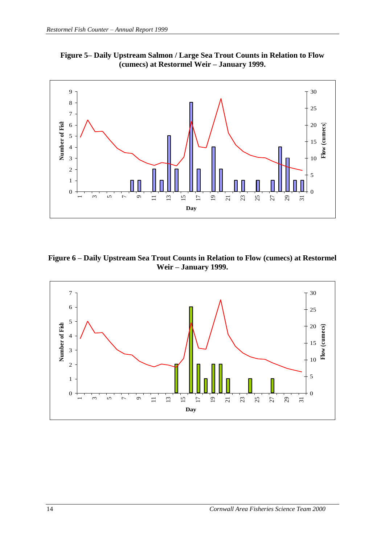**Figure 5– Daily Upstream Salmon / Large Sea Trout Counts in Relation to Flow (cumecs) at Restormel Weir – January 1999.**



**Figure 6 – Daily Upstream Sea Trout Counts in Relation to Flow (cumecs) at Restormel Weir – January 1999.**

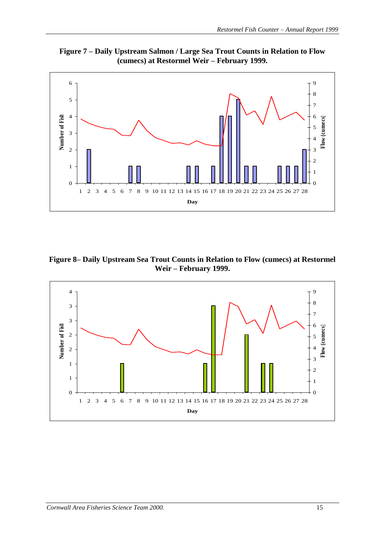**Figure 7 – Daily Upstream Salmon / Large Sea Trout Counts in Relation to Flow (cumecs) at Restormel Weir – February 1999.**



**Figure 8– Daily Upstream Sea Trout Counts in Relation to Flow (cumecs) at Restormel Weir – February 1999.**

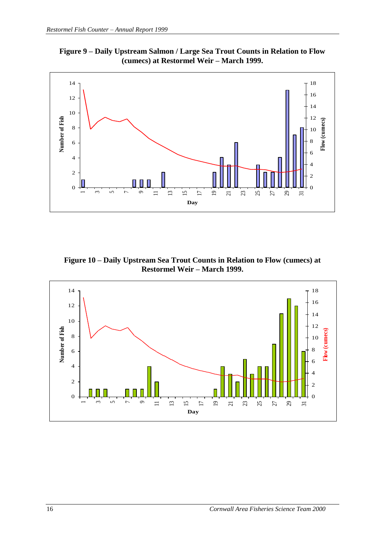



**Figure 10 – Daily Upstream Sea Trout Counts in Relation to Flow (cumecs) at Restormel Weir – March 1999.**

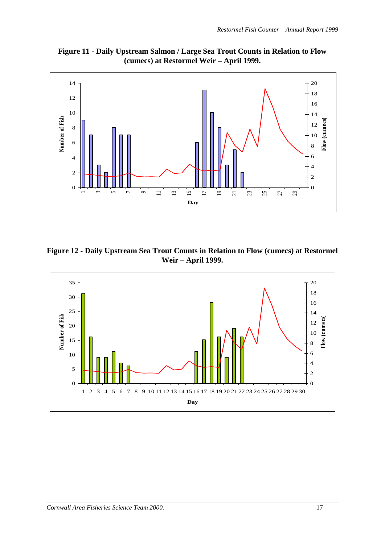



**Figure 12 - Daily Upstream Sea Trout Counts in Relation to Flow (cumecs) at Restormel Weir – April 1999.**

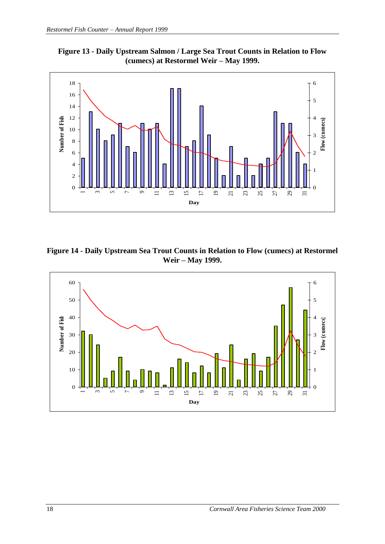



**Figure 14 - Daily Upstream Sea Trout Counts in Relation to Flow (cumecs) at Restormel Weir – May 1999.**

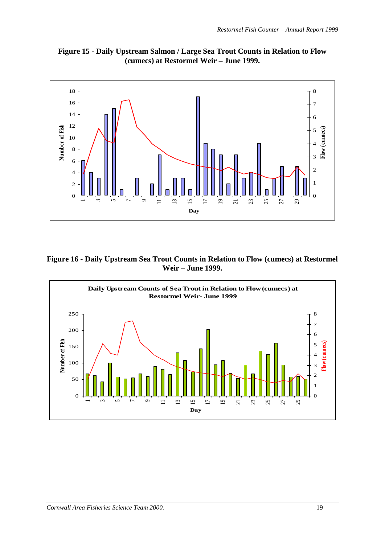



**Figure 16 - Daily Upstream Sea Trout Counts in Relation to Flow (cumecs) at Restormel Weir – June 1999.**

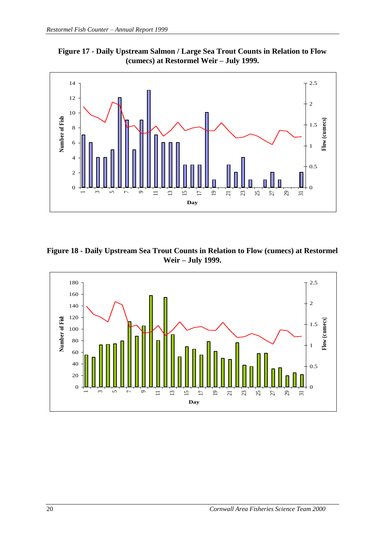



**Figure 18 - Daily Upstream Sea Trout Counts in Relation to Flow (cumecs) at Restormel Weir – July 1999.**

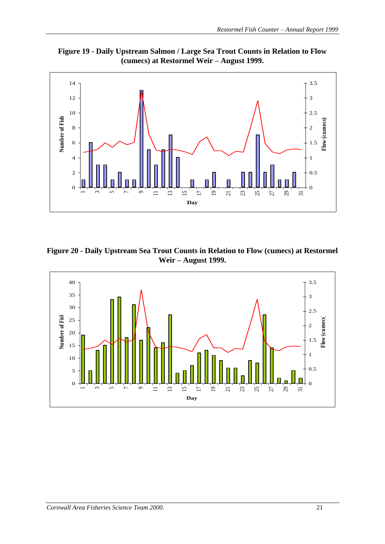



**Figure 20 - Daily Upstream Sea Trout Counts in Relation to Flow (cumecs) at Restormel Weir – August 1999.**

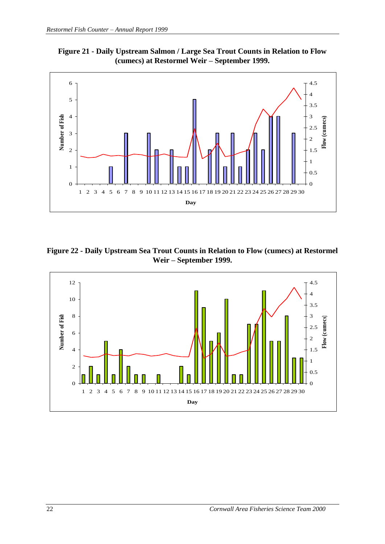



**Figure 22 - Daily Upstream Sea Trout Counts in Relation to Flow (cumecs) at Restormel Weir – September 1999.**

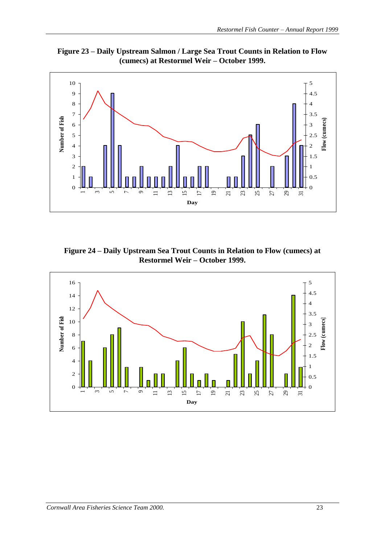**Figure 23 – Daily Upstream Salmon / Large Sea Trout Counts in Relation to Flow (cumecs) at Restormel Weir – October 1999.**



**Figure 24 – Daily Upstream Sea Trout Counts in Relation to Flow (cumecs) at Restormel Weir – October 1999.**

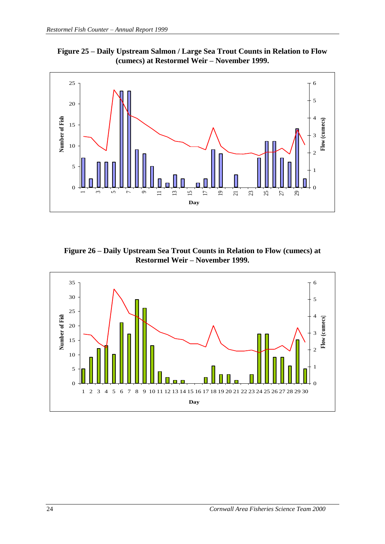



**Figure 26 – Daily Upstream Sea Trout Counts in Relation to Flow (cumecs) at Restormel Weir – November 1999.**

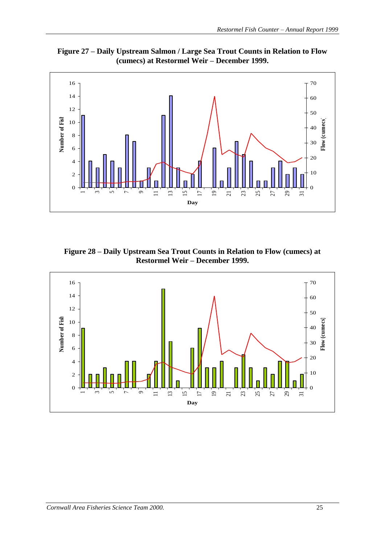



**Figure 28 – Daily Upstream Sea Trout Counts in Relation to Flow (cumecs) at Restormel Weir – December 1999.**

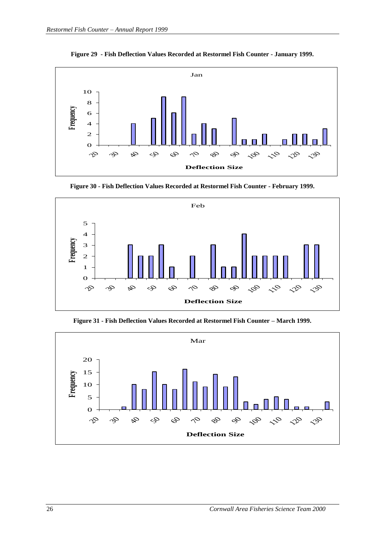

**Figure 29 - Fish Deflection Values Recorded at Restormel Fish Counter - January 1999.**

**Figure 30 - Fish Deflection Values Recorded at Restormel Fish Counter - February 1999.**



**Figure 31 - Fish Deflection Values Recorded at Restormel Fish Counter – March 1999.**

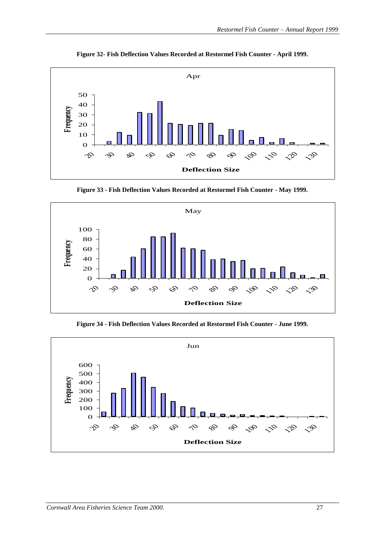

**Figure 32- Fish Deflection Values Recorded at Restormel Fish Counter - April 1999.**

**Figure 33 - Fish Deflection Values Recorded at Restormel Fish Counter - May 1999.**



**Figure 34 - Fish Deflection Values Recorded at Restormel Fish Counter - June 1999.**

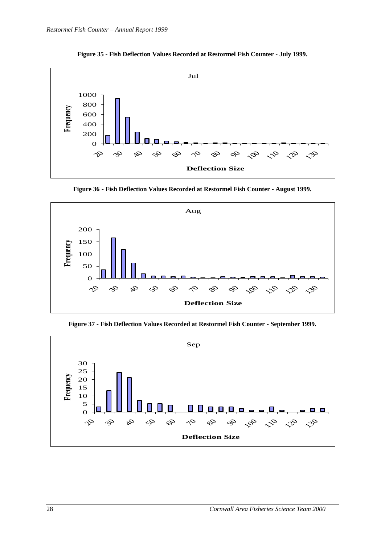

**Figure 35 - Fish Deflection Values Recorded at Restormel Fish Counter - July 1999.**

**Figure 36 - Fish Deflection Values Recorded at Restormel Fish Counter - August 1999.**



**Figure 37 - Fish Deflection Values Recorded at Restormel Fish Counter - September 1999.**

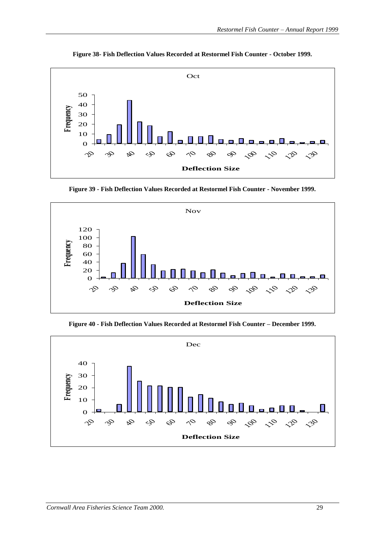

**Figure 38- Fish Deflection Values Recorded at Restormel Fish Counter - October 1999.**

**Figure 39 - Fish Deflection Values Recorded at Restormel Fish Counter - November 1999.**



**Figure 40 - Fish Deflection Values Recorded at Restormel Fish Counter – December 1999.**

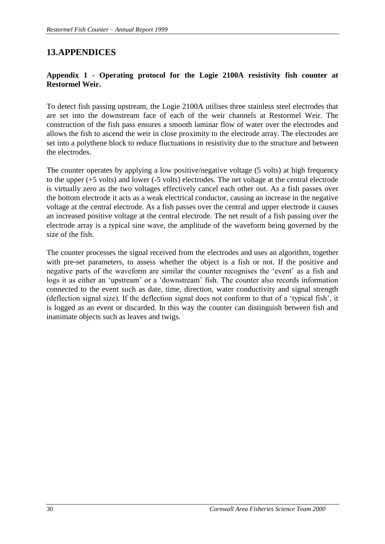## **13.APPENDICES**

#### **Appendix 1 - Operating protocol for the Logie 2100A resistivity fish counter at Restormel Weir.**

To detect fish passing upstream, the Logie 2100A utilises three stainless steel electrodes that are set into the downstream face of each of the weir channels at Restormel Weir. The construction of the fish pass ensures a smooth laminar flow of water over the electrodes and allows the fish to ascend the weir in close proximity to the electrode array. The electrodes are set into a polythene block to reduce fluctuations in resistivity due to the structure and between the electrodes.

The counter operates by applying a low positive/negative voltage (5 volts) at high frequency to the upper (+5 volts) and lower (-5 volts) electrodes. The net voltage at the central electrode is virtually zero as the two voltages effectively cancel each other out. As a fish passes over the bottom electrode it acts as a weak electrical conductor, causing an increase in the negative voltage at the central electrode. As a fish passes over the central and upper electrode it causes an increased positive voltage at the central electrode. The net result of a fish passing over the electrode array is a typical sine wave, the amplitude of the waveform being governed by the size of the fish.

The counter processes the signal received from the electrodes and uses an algorithm, together with pre-set parameters, to assess whether the object is a fish or not. If the positive and negative parts of the waveform are similar the counter recognises the 'event' as a fish and logs it as either an 'upstream' or a 'downstream' fish. The counter also records information connected to the event such as date, time, direction, water conductivity and signal strength (deflection signal size). If the deflection signal does not conform to that of a 'typical fish', it is logged as an event or discarded. In this way the counter can distinguish between fish and inanimate objects such as leaves and twigs.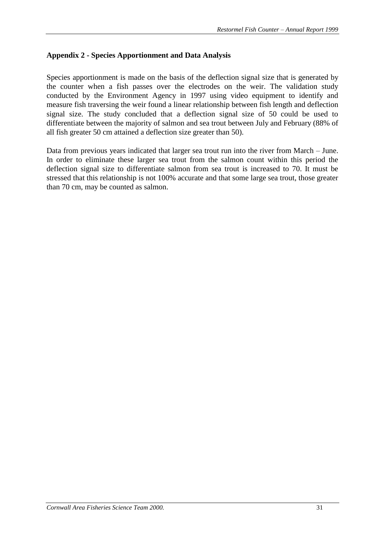#### **Appendix 2 - Species Apportionment and Data Analysis**

Species apportionment is made on the basis of the deflection signal size that is generated by the counter when a fish passes over the electrodes on the weir. The validation study conducted by the Environment Agency in 1997 using video equipment to identify and measure fish traversing the weir found a linear relationship between fish length and deflection signal size. The study concluded that a deflection signal size of 50 could be used to differentiate between the majority of salmon and sea trout between July and February (88% of all fish greater 50 cm attained a deflection size greater than 50).

Data from previous years indicated that larger sea trout run into the river from March – June. In order to eliminate these larger sea trout from the salmon count within this period the deflection signal size to differentiate salmon from sea trout is increased to 70. It must be stressed that this relationship is not 100% accurate and that some large sea trout, those greater than 70 cm, may be counted as salmon.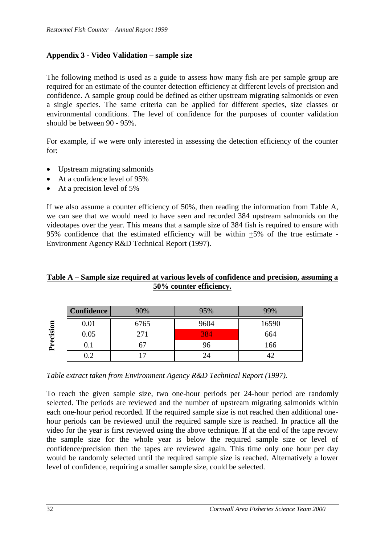#### **Appendix 3 - Video Validation – sample size**

The following method is used as a guide to assess how many fish are per sample group are required for an estimate of the counter detection efficiency at different levels of precision and confidence. A sample group could be defined as either upstream migrating salmonids or even a single species. The same criteria can be applied for different species, size classes or environmental conditions. The level of confidence for the purposes of counter validation should be between 90 - 95%.

For example, if we were only interested in assessing the detection efficiency of the counter for:

- Upstream migrating salmonids
- At a confidence level of 95%
- At a precision level of 5%

If we also assume a counter efficiency of 50%, then reading the information from Table A, we can see that we would need to have seen and recorded 384 upstream salmonids on the videotapes over the year. This means that a sample size of 384 fish is required to ensure with 95% confidence that the estimated efficiency will be within  $\pm$ 5% of the true estimate -Environment Agency R&D Technical Report (1997).

#### **Table A – Sample size required at various levels of confidence and precision, assuming a 50% counter efficiency.**

| sion<br>٠.<br>≏ | <b>Confidence</b> | 90%                      | 95%        | 99%   |
|-----------------|-------------------|--------------------------|------------|-------|
|                 | 0.01              | 6765                     | 9604       | 16590 |
|                 | 0.05              | 271                      | <b>384</b> | 664   |
|                 | U. I              |                          | 96         | 166   |
|                 | $\rm 0.2$         | $\overline{\phantom{0}}$ | 24         |       |

*Table extract taken from Environment Agency R&D Technical Report (1997).*

To reach the given sample size, two one-hour periods per 24-hour period are randomly selected. The periods are reviewed and the number of upstream migrating salmonids within each one-hour period recorded. If the required sample size is not reached then additional onehour periods can be reviewed until the required sample size is reached. In practice all the video for the year is first reviewed using the above technique. If at the end of the tape review the sample size for the whole year is below the required sample size or level of confidence/precision then the tapes are reviewed again. This time only one hour per day would be randomly selected until the required sample size is reached. Alternatively a lower **1.**  $\frac{6.01}{0.05}$  **1.**  $\frac{6765}{0.2}$  **1.**  $\frac{384}{0.1}$  **1.**  $\frac{67}{0.2}$  **1.**  $\frac{7}{17}$  **1.**  $\frac{24}{24}$  **1.**  $\frac{7}{24}$  **1.**  $\frac{7}{24}$  **1.**  $\frac{7}{24}$  **1.**  $\frac{7}{24}$  **1.**  $\frac{7}{24}$  **1.**  $\frac{7}{24}$  **1.**  $\frac{7}{24}$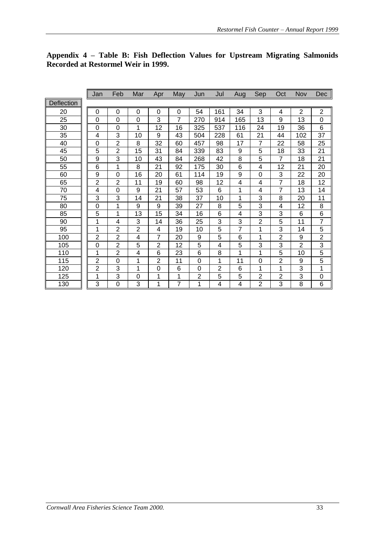|                   | Jan            | Feb            | Mar            | Apr            | May            | Jun | Jul            | Aug | Sep            | Oct            | Nov            | Dec            |
|-------------------|----------------|----------------|----------------|----------------|----------------|-----|----------------|-----|----------------|----------------|----------------|----------------|
| <b>Deflection</b> |                |                |                |                |                |     |                |     |                |                |                |                |
| 20                | 0              | $\mathbf 0$    | $\mathbf 0$    | $\mathbf 0$    | $\overline{0}$ | 54  | 161            | 34  | 3              | 4              | $\overline{2}$ | $\overline{2}$ |
| 25                | 0              | $\Omega$       | $\mathbf 0$    | 3              | 7              | 270 | 914            | 165 | 13             | 9              | 13             | 0              |
| 30                | $\overline{0}$ | $\mathbf 0$    | 1              | 12             | 16             | 325 | 537            | 116 | 24             | 19             | 36             | 6              |
| 35                | 4              | 3              | 10             | 9              | 43             | 504 | 228            | 61  | 21             | 44             | 102            | 37             |
| 40                | 0              | $\overline{2}$ | 8              | 32             | 60             | 457 | 98             | 17  | 7              | 22             | 58             | 25             |
| 45                | 5              | $\overline{2}$ | 15             | 31             | 84             | 339 | 83             | 9   | 5              | 18             | 33             | 21             |
| 50                | 9              | 3              | 10             | 43             | 84             | 268 | 42             | 8   | 5              | $\overline{7}$ | 18             | 21             |
| 55                | 6              | 1              | 8              | 21             | 92             | 175 | 30             | 6   | 4              | 12             | 21             | 20             |
| 60                | 9              | $\Omega$       | 16             | 20             | 61             | 114 | 19             | 9   | 0              | 3              | 22             | 20             |
| 65                | $\overline{2}$ | $\overline{2}$ | 11             | 19             | 60             | 98  | 12             | 4   | 4              | 7              | 18             | 12             |
| 70                | 4              | 0              | 9              | 21             | 57             | 53  | 6              | 1   | 4              | 7              | 13             | 14             |
| 75                | 3              | 3              | 14             | 21             | 38             | 37  | 10             | 1   | 3              | 8              | 20             | 11             |
| 80                | 0              | 1              | 9              | 9              | 39             | 27  | 8              | 5   | 3              | 4              | 12             | 8              |
| 85                | 5              | 1              | 13             | 15             | 34             | 16  | 6              | 4   | 3              | 3              | 6              | 6              |
| 90                | 1              | 4              | 3              | 14             | 36             | 25  | $\overline{3}$ | 3   | $\overline{2}$ | 5              | 11             | $\overline{7}$ |
| 95                | 1              | $\overline{2}$ | $\overline{2}$ | 4              | 19             | 10  | 5              | 7   | 1              | 3              | 14             | 5              |
| 100               | $\overline{2}$ | $\overline{2}$ | 4              | 7              | 20             | 9   | 5              | 6   | 1              | $\overline{2}$ | 9              | $\overline{2}$ |
| 105               | 0              | $\overline{2}$ | 5              | $\overline{2}$ | 12             | 5   | 4              | 5   | 3              | 3              | $\overline{2}$ | 3              |
| 110               | 1              | $\overline{2}$ | 4              | 6              | 23             | 6   | 8              | 1   | 1              | 5              | 10             | $\overline{5}$ |
| 115               | $\overline{2}$ | $\overline{0}$ | 1              | $\overline{2}$ | 11             | 0   | 1              | 11  | 0              | $\overline{2}$ | 9              | $\overline{5}$ |
| 120               | $\overline{2}$ | 3              | 1              | $\Omega$       | 6              | 0   | $\overline{2}$ | 6   | 1              | 1              | 3              | 1              |
| 125               | 1              | 3              | 0              | 1              | 1              | 2   | 5              | 5   | $\overline{2}$ | 2              | 3              | 0              |
| 130               | 3              | 0              | 3              | 1              | 7              | 1   | 4              | 4   | $\overline{2}$ | 3              | 8              | 6              |

#### **Appendix 4 – Table B: Fish Deflection Values for Upstream Migrating Salmonids Recorded at Restormel Weir in 1999.**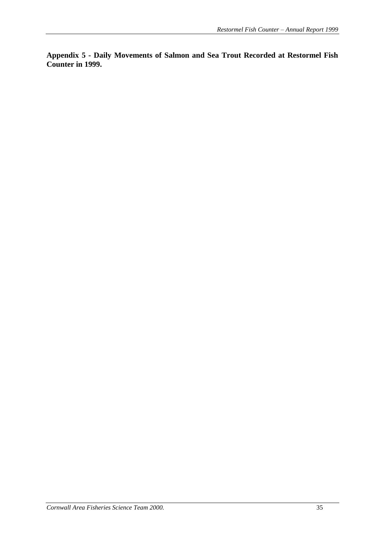**Appendix 5 - Daily Movements of Salmon and Sea Trout Recorded at Restormel Fish Counter in 1999.**